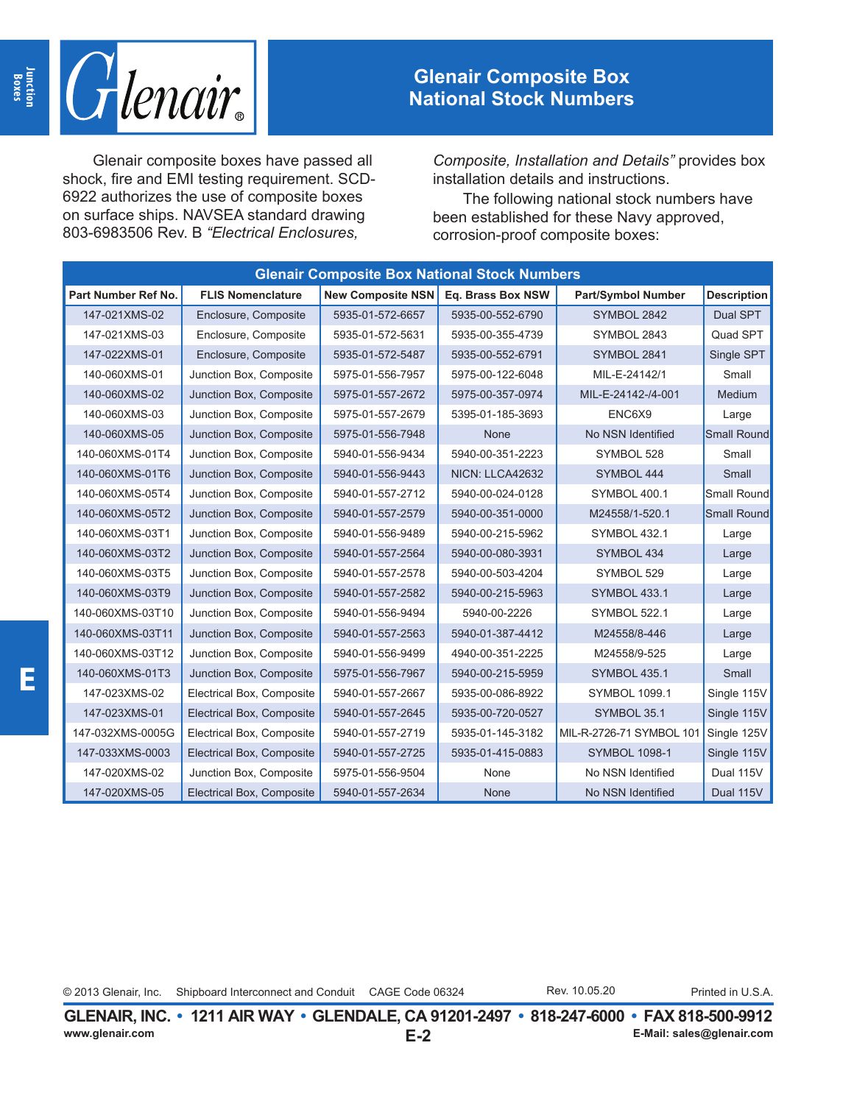

## **Glenair Composite Box National Stock Numbers**

Glenair composite boxes have passed all shock, fire and EMI testing requirement. SCD-6922 authorizes the use of composite boxes on surface ships. NAVSEA standard drawing 803-6983506 Rev. B *"Electrical Enclosures,* 

*Composite, Installation and Details"* provides box installation details and instructions.

The following national stock numbers have been established for these Navy approved, corrosion-proof composite boxes:

| <b>Glenair Composite Box National Stock Numbers</b> |                           |                          |                   |                           |                    |  |  |  |  |
|-----------------------------------------------------|---------------------------|--------------------------|-------------------|---------------------------|--------------------|--|--|--|--|
| Part Number Ref No.                                 | <b>FLIS Nomenclature</b>  | <b>New Composite NSN</b> | Eq. Brass Box NSW | <b>Part/Symbol Number</b> | <b>Description</b> |  |  |  |  |
| 147-021XMS-02                                       | Enclosure, Composite      | 5935-01-572-6657         | 5935-00-552-6790  | SYMBOL 2842               | Dual SPT           |  |  |  |  |
| 147-021XMS-03                                       | Enclosure, Composite      | 5935-01-572-5631         | 5935-00-355-4739  | SYMBOL 2843               | Quad SPT           |  |  |  |  |
| 147-022XMS-01                                       | Enclosure, Composite      | 5935-01-572-5487         | 5935-00-552-6791  | SYMBOL 2841               | Single SPT         |  |  |  |  |
| 140-060XMS-01                                       | Junction Box, Composite   | 5975-01-556-7957         | 5975-00-122-6048  | MIL-E-24142/1             | Small              |  |  |  |  |
| 140-060XMS-02                                       | Junction Box, Composite   | 5975-01-557-2672         | 5975-00-357-0974  | MIL-E-24142-/4-001        | Medium             |  |  |  |  |
| 140-060XMS-03                                       | Junction Box, Composite   | 5975-01-557-2679         | 5395-01-185-3693  | ENC6X9                    | Large              |  |  |  |  |
| 140-060XMS-05                                       | Junction Box, Composite   | 5975-01-556-7948         | None              | No NSN Identified         | <b>Small Round</b> |  |  |  |  |
| 140-060XMS-01T4                                     | Junction Box, Composite   | 5940-01-556-9434         | 5940-00-351-2223  | SYMBOL 528                | Small              |  |  |  |  |
| 140-060XMS-01T6                                     | Junction Box, Composite   | 5940-01-556-9443         | NICN: LLCA42632   | SYMBOL 444                | Small              |  |  |  |  |
| 140-060XMS-05T4                                     | Junction Box, Composite   | 5940-01-557-2712         | 5940-00-024-0128  | SYMBOL 400.1              | Small Round        |  |  |  |  |
| 140-060XMS-05T2                                     | Junction Box, Composite   | 5940-01-557-2579         | 5940-00-351-0000  | M24558/1-520.1            | <b>Small Round</b> |  |  |  |  |
| 140-060XMS-03T1                                     | Junction Box, Composite   | 5940-01-556-9489         | 5940-00-215-5962  | <b>SYMBOL 432.1</b>       | Large              |  |  |  |  |
| 140-060XMS-03T2                                     | Junction Box, Composite   | 5940-01-557-2564         | 5940-00-080-3931  | SYMBOL 434                | Large              |  |  |  |  |
| 140-060XMS-03T5                                     | Junction Box, Composite   | 5940-01-557-2578         | 5940-00-503-4204  | SYMBOL 529                | Large              |  |  |  |  |
| 140-060XMS-03T9                                     | Junction Box, Composite   | 5940-01-557-2582         | 5940-00-215-5963  | <b>SYMBOL 433.1</b>       | Large              |  |  |  |  |
| 140-060XMS-03T10                                    | Junction Box, Composite   | 5940-01-556-9494         | 5940-00-2226      | <b>SYMBOL 522.1</b>       | Large              |  |  |  |  |
| 140-060XMS-03T11                                    | Junction Box, Composite   | 5940-01-557-2563         | 5940-01-387-4412  | M24558/8-446              | Large              |  |  |  |  |
| 140-060XMS-03T12                                    | Junction Box, Composite   | 5940-01-556-9499         | 4940-00-351-2225  | M24558/9-525              | Large              |  |  |  |  |
| 140-060XMS-01T3                                     | Junction Box, Composite   | 5975-01-556-7967         | 5940-00-215-5959  | <b>SYMBOL 435.1</b>       | Small              |  |  |  |  |
| 147-023XMS-02                                       | Electrical Box, Composite | 5940-01-557-2667         | 5935-00-086-8922  | <b>SYMBOL 1099.1</b>      | Single 115V        |  |  |  |  |
| 147-023XMS-01                                       | Electrical Box, Composite | 5940-01-557-2645         | 5935-00-720-0527  | SYMBOL 35.1               | Single 115V        |  |  |  |  |
| 147-032XMS-0005G                                    | Electrical Box, Composite | 5940-01-557-2719         | 5935-01-145-3182  | MIL-R-2726-71 SYMBOL 101  | Single 125V        |  |  |  |  |
| 147-033XMS-0003                                     | Electrical Box, Composite | 5940-01-557-2725         | 5935-01-415-0883  | <b>SYMBOL 1098-1</b>      | Single 115V        |  |  |  |  |
| 147-020XMS-02                                       | Junction Box, Composite   | 5975-01-556-9504         | None              | No NSN Identified         | Dual 115V          |  |  |  |  |
| 147-020XMS-05                                       | Electrical Box, Composite | 5940-01-557-2634         | None              | No NSN Identified         | Dual 115V          |  |  |  |  |

Rev. 10.05.20